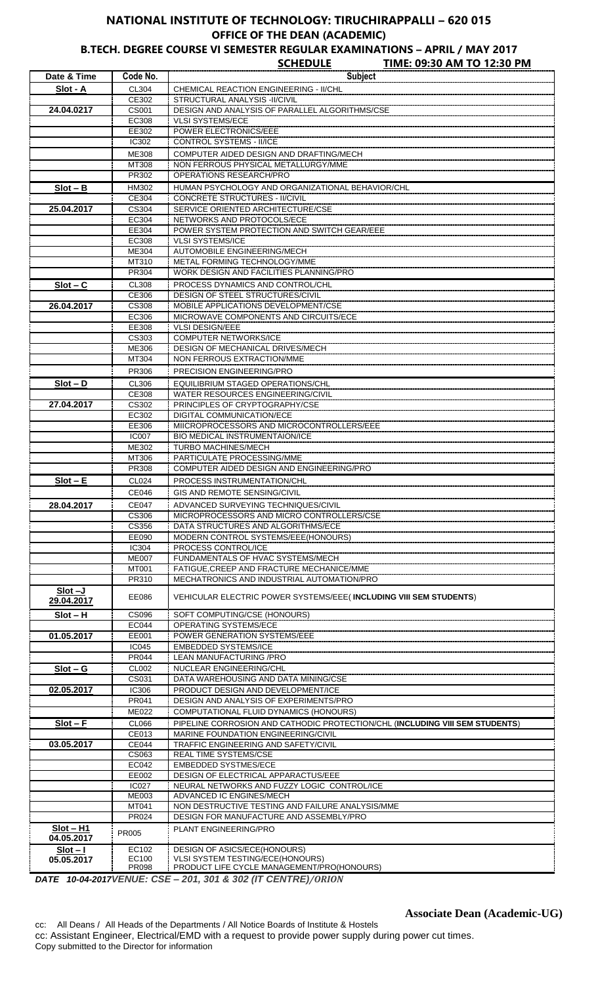## **NATIONAL INSTITUTE OF TECHNOLOGY: TIRUCHIRAPPALLI – 620 015 OFFICE OF THE DEAN (ACADEMIC)**

**B.TECH. DEGREE COURSE VI SEMESTER REGULAR EXAMINATIONS – APRIL / MAY 2017**

|                           |                            | <b>SCHEDULE</b><br>TIME: 09:30 AM TO 12:30 PM                                |
|---------------------------|----------------------------|------------------------------------------------------------------------------|
| Date & Time               | Code No.                   | <b>Subject</b>                                                               |
| Slot - A                  | CL304                      | <b>CHEMICAL REACTION ENGINEERING - II/CHL</b>                                |
|                           | CE302                      | STRUCTURAL ANALYSIS - II/CIVIL                                               |
| 24.04.0217                | CS001                      | DESIGN AND ANALYSIS OF PARALLEL ALGORITHMS/CSE                               |
|                           | EC308                      | <b>VLSI SYSTEMS/ECE</b>                                                      |
|                           | EE302                      | POWER ELECTRONICS/EEE                                                        |
|                           | IC302                      | CONTROL SYSTEMS - II/ICE                                                     |
|                           | <b>ME308</b>               | COMPUTER AIDED DESIGN AND DRAFTING/MECH                                      |
|                           | MT308                      | NON FERROUS PHYSICAL METALLURGY/MME                                          |
|                           | PR302                      | OPERATIONS RESEARCH/PRO                                                      |
| $Slot - B$                | HM302                      | HUMAN PSYCHOLOGY AND ORGANIZATIONAL BEHAVIOR/CHL                             |
|                           | CE304                      | <b>CONCRETE STRUCTURES - II/CIVIL</b>                                        |
| 25.04.2017                | $\overline{\text{C}}$ S304 | SERVICE ORIENTED ARCHITECTURE/CSE                                            |
|                           | EC304                      | NETWORKS AND PROTOCOLS/ECE                                                   |
|                           | EE304                      | POWER SYSTEM PROTECTION AND SWITCH GEAR/EEE                                  |
|                           | EC308                      | <b>VLSI SYSTEMS/ICE</b>                                                      |
|                           | <b>ME304</b>               | <b>AUTOMOBILE ENGINEERING/MECH</b>                                           |
|                           | MT310                      | METAL FORMING TECHNOLOGY/MME                                                 |
|                           | <b>PR304</b>               | WORK DESIGN AND FACILITIES PLANNING/PRO                                      |
| $Slot - C$                | CL308                      | PROCESS DYNAMICS AND CONTROL/CHL                                             |
|                           | CE306                      | DESIGN OF STEEL STRUCTURES/CIVIL                                             |
| 26.04.2017                | CS308                      | MOBILE APPLICATIONS DEVELOPMENT/CSE                                          |
|                           | EC306                      | MICROWAVE COMPONENTS AND CIRCUITS/ECE                                        |
|                           | EE308                      | <b>VLSI DESIGN/EEE</b>                                                       |
|                           | CS303                      | <b>COMPUTER NETWORKS/ICE</b>                                                 |
|                           | ME306                      | DESIGN OF MECHANICAL DRIVES/MECH                                             |
|                           | MT304                      | NON FERROUS EXTRACTION/MME                                                   |
|                           | PR306                      | PRECISION ENGINEERING/PRO                                                    |
| $Slot - D$                | CL306                      | EQUILIBRIUM STAGED OPERATIONS/CHL                                            |
|                           | CE308                      | WATER RESOURCES ENGINEERING/CIVIL                                            |
| 27.04.2017                | CS302                      | PRINCIPLES OF CRYPTOGRAPHY/CSE                                               |
|                           | EC302                      | DIGITAL COMMUNICATION/ECE                                                    |
|                           | EE306                      | MIICROPROCESSORS AND MICROCONTROLLERS/EEE                                    |
|                           | <b>IC007</b>               | <b>BIO MEDICAL INSTRUMENTAION/ICE</b>                                        |
|                           | ME302                      | <b>TURBO MACHINES/MECH</b>                                                   |
|                           | MT306                      | PARTICULATE PROCESSING/MME                                                   |
|                           | PR308                      | COMPUTER AIDED DESIGN AND ENGINEERING/PRO                                    |
| $Slot - E$                | CL024                      | PROCESS INSTRUMENTATION/CHL                                                  |
|                           | <b>CE046</b>               | GIS AND REMOTE SENSING/CIVIL                                                 |
| 28.04.2017                | <b>CE047</b>               | ADVANCED SURVEYING TECHNIQUES/CIVIL                                          |
|                           | CS306                      | MICROPROCESSORS AND MICRO CONTROLLERS/CSE                                    |
|                           | CS356                      | DATA STRUCTURES AND ALGORITHMS/ECE                                           |
|                           | EE090                      | MODERN CONTROL SYSTEMS/EEE(HONOURS)                                          |
|                           | IC304                      | PROCESS CONTROL/ICE                                                          |
|                           | <b>ME007</b>               | FUNDAMENTALS OF HVAC SYSTEMS/MECH                                            |
|                           | <b>MT001</b>               | FATIGUE, CREEP AND FRACTURE MECHANICE/MME                                    |
|                           | PR310                      | MECHATRONICS AND INDUSTRIAL AUTOMATION/PRO                                   |
| $Slot -J$                 |                            |                                                                              |
| 29.04.2017                | EE086                      | <b>VEHICULAR ELECTRIC POWER SYSTEMS/EEE (INCLUDING VIII SEM STUDENTS)</b>    |
| $Slot - H$                | CS096                      | SOFT COMPUTING/CSE (HONOURS)                                                 |
|                           | EC044                      | OPERATING SYSTEMS/ECE                                                        |
| 01.05.2017                | EE001                      | POWER GENERATION SYSTEMS/EEE                                                 |
|                           | IC045                      | <b>EMBEDDED SYSTEMS/ICE</b>                                                  |
|                           | <b>PR044</b>               | LEAN MANUFACTURING / PRO                                                     |
| $Slot - G$                | CL002                      | NUCLEAR ENGINEERING/CHL                                                      |
|                           | CS031                      | DATA WAREHOUSING AND DATA MINING/CSE                                         |
| 02.05.2017                | <b>IC306</b>               | PRODUCT DESIGN AND DEVELOPMENT/ICE                                           |
|                           | PR041                      | DESIGN AND ANALYSIS OF EXPERIMENTS/PRO                                       |
|                           | <b>ME022</b>               | COMPUTATIONAL FLUID DYNAMICS (HONOURS)                                       |
| $Slot - F$                | CL066                      | PIPELINE CORROSION AND CATHODIC PROTECTION/CHL (INCLUDING VIII SEM STUDENTS) |
|                           | CE013                      | <b>MARINE FOUNDATION ENGINEERING/CIVIL</b>                                   |
| 03.05.2017                | <b>CE044</b>               | TRAFFIC ENGINEERING AND SAFETY/CIVIL                                         |
|                           | CS063                      | REAL TIME SYSTEMS/CSE                                                        |
|                           | EC042                      | <b>EMBEDDED SYSTMES/ECE</b>                                                  |
|                           | EE002                      | DESIGN OF ELECTRICAL APPARACTUS/EEE                                          |
|                           | <b>IC027</b>               | NEURAL NETWORKS AND FUZZY LOGIC CONTROL/ICE                                  |
|                           | <b>ME003</b>               | ADVANCED IC ENGINES/MECH                                                     |
|                           | MT041<br>PR024             | NON DESTRUCTIVE TESTING AND FAILURE ANALYSIS/MME                             |
|                           |                            | DESIGN FOR MANUFACTURE AND ASSEMBLY/PRO                                      |
| $Slot - H1$<br>04.05.2017 | PR005                      | PLANT ENGINEERING/PRO                                                        |
|                           | EC102                      | <b>DESIGN OF ASICS/ECE(HONOURS)</b>                                          |
| $Slot - I$<br>05.05.2017  | EC100                      | <b>VLSI SYSTEM TESTING/ECE(HONOURS)</b>                                      |
|                           | PR098                      | PRODUCT LIFE CYCLE MANAGEMENT/PRO(HONOURS)                                   |

*DATE 10-04-2017VENUE: CSE – 201, 301 & 302 (IT CENTRE)/ORION*